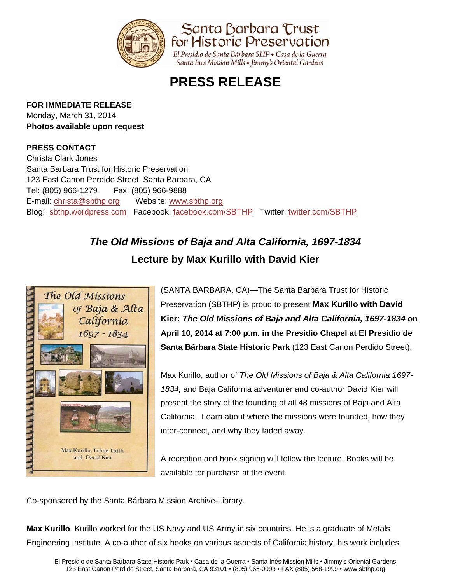

Santa Barbara Trust for Historic Preservation

El Presidio de Santa Bárbara SHP · Casa de la Guerra Santa Inés Mission Mills • Jimmy's Oriental Gardens

# **PRESS RELEASE**

#### **FOR IMMEDIATE RELEASE**

Monday, March 31, 2014 **Photos available upon request** 

### **PRESS CONTACT**

Christa Clark Jones Santa Barbara Trust for Historic Preservation 123 East Canon Perdido Street, Santa Barbara, CA Tel: (805) 966-1279 Fax: (805) 966-9888 E-mail: christa@sbthp.org Website: www.sbthp.org Blog: sbthp.wordpress.com Facebook: facebook.com/SBTHP Twitter: twitter.com/SBTHP

## *The Old Missions of Baja and Alta California, 1697-1834*  **Lecture by Max Kurillo with David Kier**



(SANTA BARBARA, CA)—The Santa Barbara Trust for Historic Preservation (SBTHP) is proud to present **Max Kurillo with David Kier:** *The Old Missions of Baja and Alta California, 1697-1834* **on April 10, 2014 at 7:00 p.m. in the Presidio Chapel at El Presidio de Santa Bárbara State Historic Park** (123 East Canon Perdido Street).

Max Kurillo, author of *The Old Missions of Baja & Alta California 1697- 1834,* and Baja California adventurer and co-author David Kier will present the story of the founding of all 48 missions of Baja and Alta California. Learn about where the missions were founded, how they inter-connect, and why they faded away.

A reception and book signing will follow the lecture. Books will be available for purchase at the event.

Co-sponsored by the Santa Bárbara Mission Archive-Library.

**Max Kurillo** Kurillo worked for the US Navy and US Army in six countries. He is a graduate of Metals Engineering Institute. A co-author of six books on various aspects of California history, his work includes